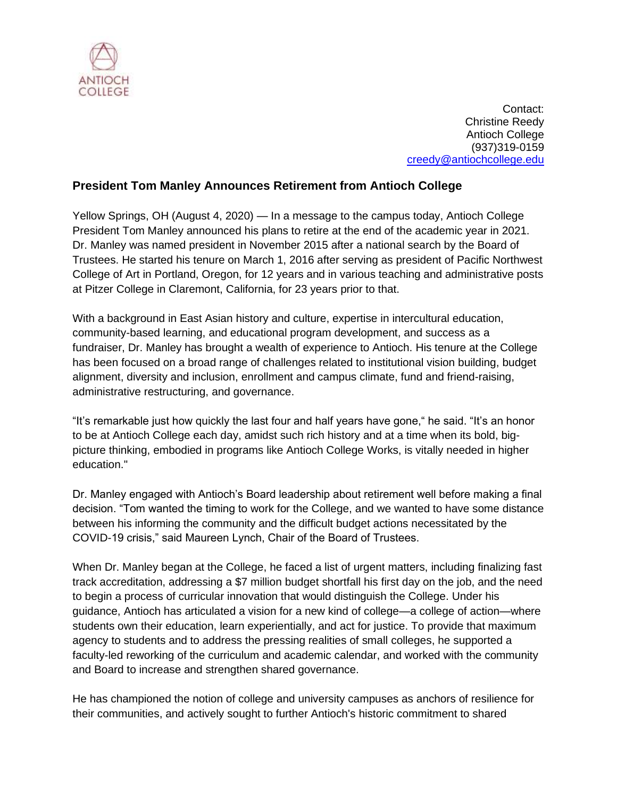

Contact: Christine Reedy Antioch College (937)319-0159 [creedy@antiochcollege.edu](mailto:creedy@antiochcollege.edu)

## **President Tom Manley Announces Retirement from Antioch College**

Yellow Springs, OH (August 4, 2020) — In a message to the campus today, Antioch College President Tom Manley announced his plans to retire at the end of the academic year in 2021. Dr. Manley was named president in November 2015 after a national search by the Board of Trustees. He started his tenure on March 1, 2016 after serving as president of Pacific Northwest College of Art in Portland, Oregon, for 12 years and in various teaching and administrative posts at Pitzer College in Claremont, California, for 23 years prior to that.

With a background in East Asian history and culture, expertise in intercultural education, community-based learning, and educational program development, and success as a fundraiser, Dr. Manley has brought a wealth of experience to Antioch. His tenure at the College has been focused on a broad range of challenges related to institutional vision building, budget alignment, diversity and inclusion, enrollment and campus climate, fund and friend-raising, administrative restructuring, and governance.

"It's remarkable just how quickly the last four and half years have gone," he said. "It's an honor to be at Antioch College each day, amidst such rich history and at a time when its bold, bigpicture thinking, embodied in programs like Antioch College Works, is vitally needed in higher education."

Dr. Manley engaged with Antioch's Board leadership about retirement well before making a final decision. "Tom wanted the timing to work for the College, and we wanted to have some distance between his informing the community and the difficult budget actions necessitated by the COVID-19 crisis," said Maureen Lynch, Chair of the Board of Trustees.

When Dr. Manley began at the College, he faced a list of urgent matters, including finalizing fast track accreditation, addressing a \$7 million budget shortfall his first day on the job, and the need to begin a process of curricular innovation that would distinguish the College. Under his guidance, Antioch has articulated a vision for a new kind of college—a college of action—where students own their education, learn experientially, and act for justice. To provide that maximum agency to students and to address the pressing realities of small colleges, he supported a faculty-led reworking of the curriculum and academic calendar, and worked with the community and Board to increase and strengthen shared governance.

He has championed the notion of college and university campuses as anchors of resilience for their communities, and actively sought to further Antioch's historic commitment to shared